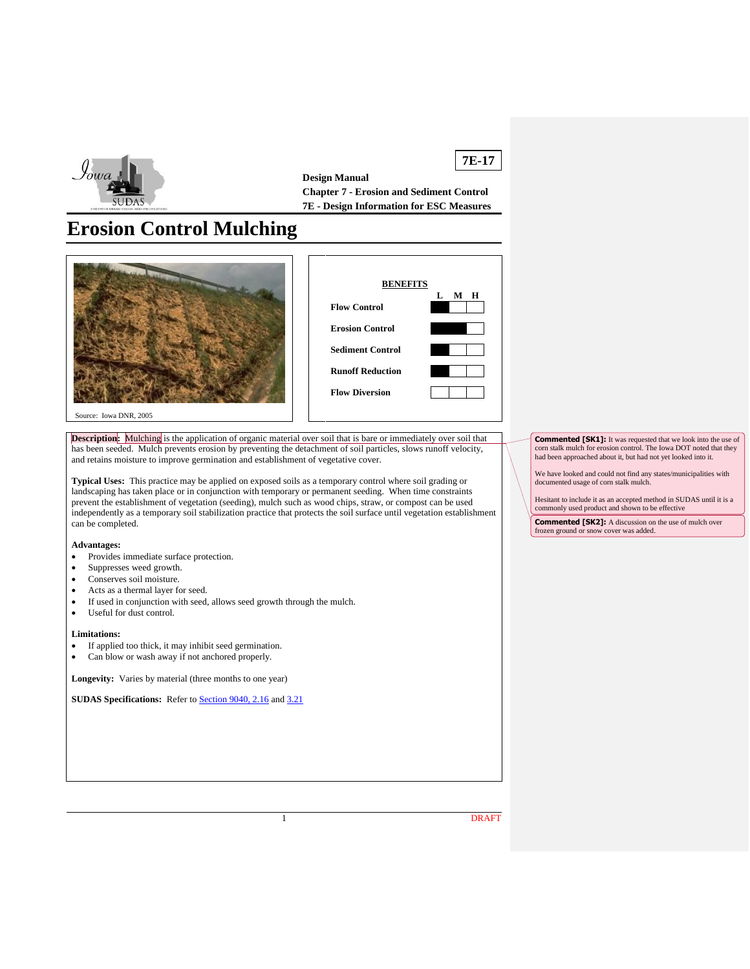

**7E-17 Design Manual Chapter 7 - Erosion and Sediment Control 7E - Design Information for ESC Measures**

# **Erosion Control Mulching**





Source: Iowa DNR, 2005

**Description:** Mulching is the application of organic material over soil that is bare or immediately over soil that has been seeded. Mulch prevents erosion by preventing the detachment of soil particles, slows runoff velocity, and retains moisture to improve germination and establishment of vegetative cover.

**Typical Uses:** This practice may be applied on exposed soils as a temporary control where soil grading or landscaping has taken place or in conjunction with temporary or permanent seeding. When time constraints prevent the establishment of vegetation (seeding), mulch such as wood chips, straw, or compost can be used independently as a temporary soil stabilization practice that protects the soil surface until vegetation establishment can be completed.

#### **Advantages:**

- Provides immediate surface protection.
- Suppresses weed growth.
- Conserves soil moisture.
- Acts as a thermal layer for seed.
- If used in conjunction with seed, allows seed growth through the mulch.
- Useful for dust control.

#### **Limitations:**

- If applied too thick, it may inhibit seed germination.
- Can blow or wash away if not anchored properly.

**Longevity:** Varies by material (three months to one year)

**SUDAS Specifications:** Refer to **Section 9040, 2.16** and [3.21](https://intrans.iastate.edu/app/uploads/sites/15/2020/02/9040.pdf#page=23)

**Commented [SK1]:** It was requested that we look into the use of corn stalk mulch for erosion control. The Iowa DOT noted that they had been approached about it, but had not yet looked into it.

We have looked and could not find any states/municipalities with documented usage of corn stalk mulch.

Hesitant to include it as an accepted method in SUDAS until it is a commonly used product and shown to be effective

**Commented [SK2]:** A discussion on the use of mulch over frozen ground or snow cover was added.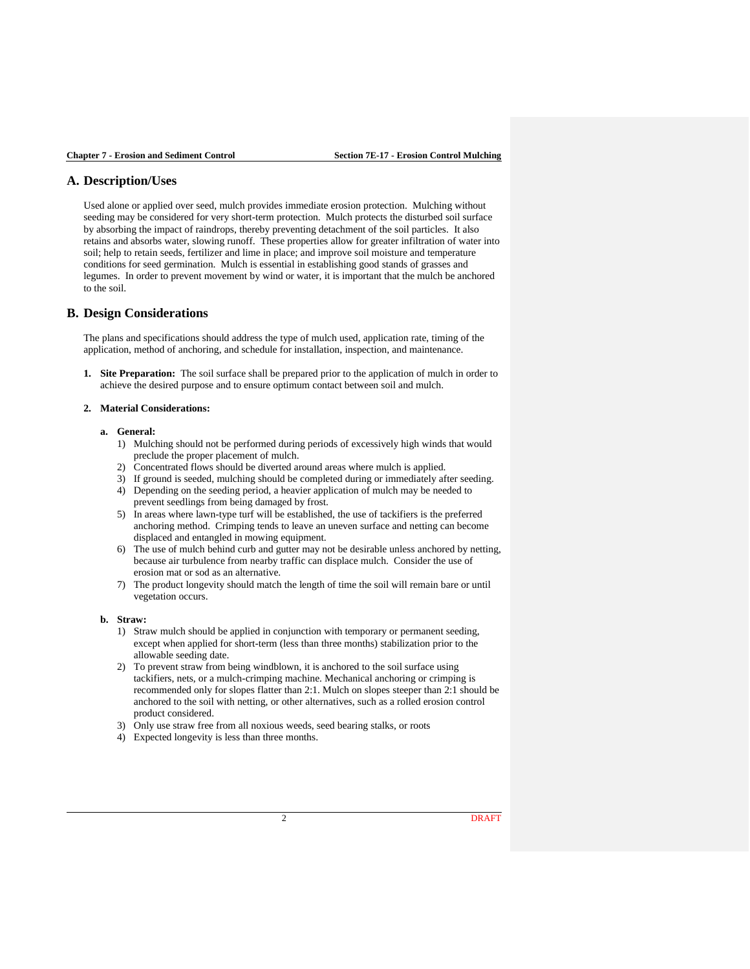# **A. Description/Uses**

Used alone or applied over seed, mulch provides immediate erosion protection. Mulching without seeding may be considered for very short-term protection. Mulch protects the disturbed soil surface by absorbing the impact of raindrops, thereby preventing detachment of the soil particles. It also retains and absorbs water, slowing runoff. These properties allow for greater infiltration of water into soil; help to retain seeds, fertilizer and lime in place; and improve soil moisture and temperature conditions for seed germination. Mulch is essential in establishing good stands of grasses and legumes. In order to prevent movement by wind or water, it is important that the mulch be anchored to the soil.

## **B. Design Considerations**

The plans and specifications should address the type of mulch used, application rate, timing of the application, method of anchoring, and schedule for installation, inspection, and maintenance.

**1. Site Preparation:** The soil surface shall be prepared prior to the application of mulch in order to achieve the desired purpose and to ensure optimum contact between soil and mulch.

#### **2. Material Considerations:**

#### **a. General:**

- 1) Mulching should not be performed during periods of excessively high winds that would preclude the proper placement of mulch.
- 2) Concentrated flows should be diverted around areas where mulch is applied.
- 3) If ground is seeded, mulching should be completed during or immediately after seeding.
- 4) Depending on the seeding period, a heavier application of mulch may be needed to prevent seedlings from being damaged by frost.
- 5) In areas where lawn-type turf will be established, the use of tackifiers is the preferred anchoring method. Crimping tends to leave an uneven surface and netting can become displaced and entangled in mowing equipment.
- 6) The use of mulch behind curb and gutter may not be desirable unless anchored by netting, because air turbulence from nearby traffic can displace mulch. Consider the use of erosion mat or sod as an alternative.
- 7) The product longevity should match the length of time the soil will remain bare or until vegetation occurs.

## **b. Straw:**

- 1) Straw mulch should be applied in conjunction with temporary or permanent seeding, except when applied for short-term (less than three months) stabilization prior to the allowable seeding date.
- 2) To prevent straw from being windblown, it is anchored to the soil surface using tackifiers, nets, or a mulch-crimping machine. Mechanical anchoring or crimping is recommended only for slopes flatter than 2:1. Mulch on slopes steeper than 2:1 should be anchored to the soil with netting, or other alternatives, such as a rolled erosion control product considered.
- 3) Only use straw free from all noxious weeds, seed bearing stalks, or roots
- 4) Expected longevity is less than three months.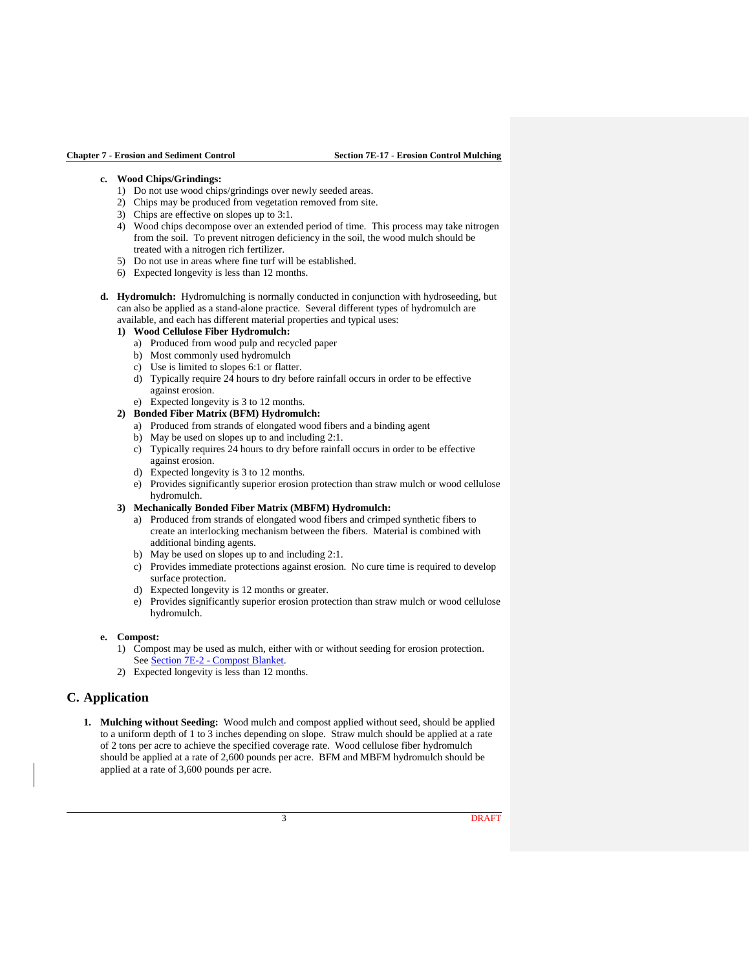## **c. Wood Chips/Grindings:**

- 1) Do not use wood chips/grindings over newly seeded areas.
- 2) Chips may be produced from vegetation removed from site.
- 3) Chips are effective on slopes up to 3:1.
- 4) Wood chips decompose over an extended period of time. This process may take nitrogen from the soil. To prevent nitrogen deficiency in the soil, the wood mulch should be treated with a nitrogen rich fertilizer.
- 5) Do not use in areas where fine turf will be established.
- 6) Expected longevity is less than 12 months.
- **d. Hydromulch:** Hydromulching is normally conducted in conjunction with hydroseeding, but can also be applied as a stand-alone practice. Several different types of hydromulch are available, and each has different material properties and typical uses:

#### **1) Wood Cellulose Fiber Hydromulch:**

- a) Produced from wood pulp and recycled paper
- b) Most commonly used hydromulch
- c) Use is limited to slopes 6:1 or flatter.
- d) Typically require 24 hours to dry before rainfall occurs in order to be effective against erosion.
- e) Expected longevity is 3 to 12 months.
- **2) Bonded Fiber Matrix (BFM) Hydromulch:**
	- a) Produced from strands of elongated wood fibers and a binding agent
	- b) May be used on slopes up to and including 2:1.
	- c) Typically requires 24 hours to dry before rainfall occurs in order to be effective against erosion.
	- d) Expected longevity is 3 to 12 months.
	- e) Provides significantly superior erosion protection than straw mulch or wood cellulose hydromulch.
- **3) Mechanically Bonded Fiber Matrix (MBFM) Hydromulch:**
	- a) Produced from strands of elongated wood fibers and crimped synthetic fibers to create an interlocking mechanism between the fibers. Material is combined with additional binding agents.
	- b) May be used on slopes up to and including 2:1.
	- c) Provides immediate protections against erosion. No cure time is required to develop surface protection.
	- d) Expected longevity is 12 months or greater.
	- e) Provides significantly superior erosion protection than straw mulch or wood cellulose hydromulch.

## **e. Compost:**

- 1) Compost may be used as mulch, either with or without seeding for erosion protection. See Section 7E-2 - [Compost Blanket.](https://intrans.iastate.edu/app/uploads/sites/15/2020/03/7E-2.pdf)
- 2) Expected longevity is less than 12 months.

# **C. Application**

**1. Mulching without Seeding:** Wood mulch and compost applied without seed, should be applied to a uniform depth of 1 to 3 inches depending on slope. Straw mulch should be applied at a rate of 2 tons per acre to achieve the specified coverage rate. Wood cellulose fiber hydromulch should be applied at a rate of 2,600 pounds per acre. BFM and MBFM hydromulch should be applied at a rate of 3,600 pounds per acre.